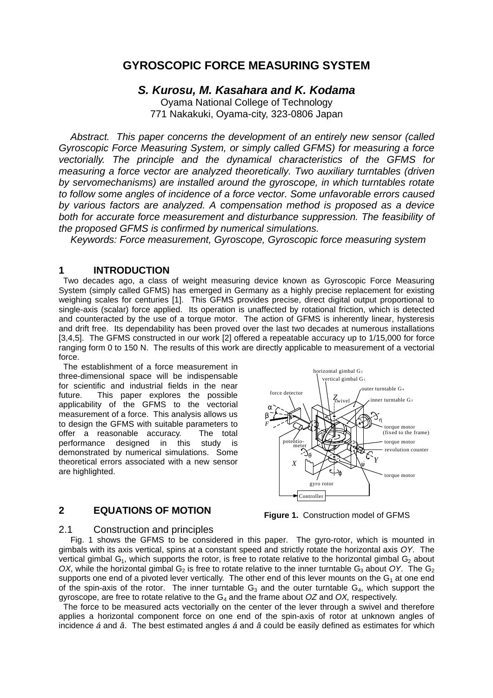## **GYROSCOPIC FORCE MEASURING SYSTEM**

## *S. Kurosu, M. Kasahara and K. Kodama*

Oyama National College of Technology 771 Nakakuki, Oyama-city, 323-0806 Japan

*Abstract. This paper concerns the development of an entirely new sensor (called Gyroscopic Force Measuring System, or simply called GFMS) for measuring a force vectorially. The principle and the dynamical characteristics of the GFMS for measuring a force vector are analyzed theoretically. Two auxiliary turntables (driven by servomechanisms) are installed around the gyroscope, in which turntables rotate to follow some angles of incidence of a force vector. Some unfavorable errors caused by various factors are analyzed. A compensation method is proposed as a device both for accurate force measurement and disturbance suppression. The feasibility of the proposed GFMS is confirmed by numerical simulations.*

*Keywords: Force measurement, Gyroscope, Gyroscopic force measuring system*

## **1 INTRODUCTION**

 Two decades ago, a class of weight measuring device known as Gyroscopic Force Measuring System (simply called GFMS) has emerged in Germany as a highly precise replacement for existing weighing scales for centuries [1]. This GFMS provides precise, direct digital output proportional to single-axis (scalar) force applied. Its operation is unaffected by rotational friction, which is detected and counteracted by the use of a torque motor. The action of GFMS is inherently linear, hysteresis and drift free. Its dependability has been proved over the last two decades at numerous installations [3,4,5]. The GFMS constructed in our work [2] offered a repeatable accuracy up to 1/15,000 for force ranging form 0 to 150 N. The results of this work are directly applicable to measurement of a vectorial force.

 The establishment of a force measurement in three-dimensional space will be indispensable for scientific and industrial fields in the near future. This paper explores the possible applicability of the GFMS to the vectorial measurement of a force. This analysis allows us to design the GFMS with suitable parameters to offer a reasonable accuracy. The total performance designed in this study is demonstrated by numerical simulations. Some theoretical errors associated with a new sensor are highlighted.

## **2 EQUATIONS OF MOTION**



**Figure 1.** Construction model of GFMS

## 2.1 Construction and principles

Fig. 1 shows the GFMS to be considered in this paper. The gyro-rotor, which is mounted in gimbals with its axis vertical, spins at a constant speed and strictly rotate the horizontal axis *OY*. The vertical gimbal  $G_1$ , which supports the rotor, is free to rotate relative to the horizontal gimbal  $G_2$  about *OX*, while the horizontal gimbal G<sub>2</sub> is free to rotate relative to the inner turntable G<sub>3</sub> about *OY*. The G<sub>2</sub> supports one end of a pivoted lever vertically. The other end of this lever mounts on the  $G_1$  at one end of the spin-axis of the rotor. The inner turntable  $G_3$  and the outer turntable  $G_4$ , which support the gyroscope, are free to rotate relative to the G4 and the frame about *OZ* and *OX,* respectively.

 The force to be measured acts vectorially on the center of the lever through a swivel and therefore applies a horizontal component force on one end of the spin-axis of rotor at unknown angles of incidence *á* and *â*. The best estimated angles *á* and *â* could be easily defined as estimates for which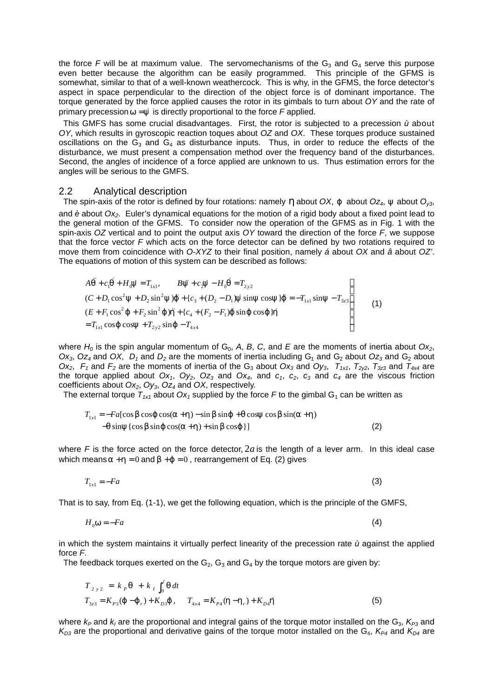the force *F* will be at maximum value. The servomechanisms of the  $G_3$  and  $G_4$  serve this purpose even better because the algorithm can be easily programmed. This principle of the GFMS is somewhat, similar to that of a well-known weathercock. This is why, in the GFMS, the force detector's aspect in space perpendicular to the direction of the object force is of dominant importance. The torque generated by the force applied causes the rotor in its gimbals to turn about *OY* and the rate of primary precession  $w = \dot{v}$  is directly proportional to the force *F* applied.

 This GMFS has some crucial disadvantages. First, the rotor is subjected to a precession *ù* about *OY*, which results in gyroscopic reaction toques about *OZ* and *OX*. These torques produce sustained oscillations on the  $G_3$  and  $G_4$  as disturbance inputs. Thus, in order to reduce the effects of the disturbance, we must present a compensation method over the frequency band of the disturbances. Second, the angles of incidence of a force applied are unknown to us. Thus estimation errors for the angles will be serious to the GMFS.

#### 2.2 Analytical description

The spin-axis of the rotor is defined by four rotations: namely  $h$  about *OX*,  $j$  about *Oz<sub>4</sub>*,  $y$  about  $O_{y3}$ , and *è* about *Ox2*. Euler's dynamical equations for the motion of a rigid body about a fixed point lead to the general motion of the GFMS. To consider now the operation of the GFMS as in Fig. 1 with the spin-axis *OZ* vertical and to point the output axis *OY* toward the direction of the force *F*, we suppose that the force vector *F* which acts on the force detector can be defined by two rotations required to move them from coincidence with *O-XYZ* to their final position, namely *á* about *OX* and *â* about *OZ'*. The equations of motion of this system can be described as follows:

$$
A\ddot{q} + c_1\dot{q} + H_0\dot{y} = T_{1x1}, \qquad B\ddot{y} + c_2\dot{y} - H_0\dot{q} = T_{2y2}
$$
  
\n
$$
(C + D_1\cos^2 y + D_2\sin^2 y)\dot{j} + \{c_3 + (D_2 - D_1)\dot{y}\sin y\cos y\}\dot{j} = -T_{1x1}\sin y - T_{3z3}
$$
  
\n
$$
(E + F_1\cos^2 \dot{j} + F_2\sin^2 \dot{j})\dot{k} + \{c_4 + (F_2 - F_1)\dot{j}\sin \dot{j}\cos \dot{j}\}\dot{k}
$$
  
\n
$$
= T_{1x1}\cos \dot{j}\cos y + T_{2y2}\sin \dot{j} - T_{4x4}
$$
\n(1)

where  $H_0$  is the spin angular momentum of  $G_0$ , A, B, C, and E are the moments of inertia about  $Ox_2$ ,  $Ox_3$ ,  $Oz_4$  and  $OX$ ,  $D_1$  and  $D_2$  are the moments of inertia including  $G_1$  and  $G_2$  about  $Oz_3$  and  $G_2$  about  $Ox_2$ ,  $F_1$  and  $F_2$  are the moments of inertia of the G<sub>3</sub> about  $Ox_3$  and  $Oy_3$ ,  $T_{1x1}$ ,  $T_{2y2}$ ,  $T_{3z3}$  and  $T_{4x4}$  are the torque applied about *Ox1*, *Oy2*, *Oz3* and *Ox4*, and *c1*, *c2*, *c3* and *c4* are the viscous friction coefficients about *Ox2*, *Oy3*, *Oz4* and *OX*, respectively.

The external torque  $T_{1x1}$  about  $Ox_1$  supplied by the force F to the gimbal G<sub>1</sub> can be written as

$$
T_{1x1} = -Fa[\cos b \cos j \cos(a+h) - \sin b \sin j + q \cos y \cos b \sin(a+h) -q \sin y {\cos b \sin j \cos(a+h) + \sin b \cos j}] \tag{2}
$$

where  $F$  is the force acted on the force detector,  $2a$  is the length of a lever arm. In this ideal case which means  $a + h = 0$  and  $b + j = 0$ , rearrangement of Eq. (2) gives

$$
T_{1x1} = -Fa \tag{3}
$$

That is to say, from Eq. (1-1), we get the following equation, which is the principle of the GMFS,

$$
H_0 w = -Fa \tag{4}
$$

in which the system maintains it virtually perfect linearity of the precession rate *ù* against the applied force *F*.

The feedback torques exerted on the  $G_2$ ,  $G_3$  and  $G_4$  by the torque motors are given by:

$$
T_{2 y 2} = k_{P} \mathbf{q} + k_{I} \int_{0}^{t} \mathbf{q} dt
$$
  
\n
$$
T_{3z3} = K_{P3} (\mathbf{j} - \mathbf{j}_{r}) + K_{D3} \mathbf{j}, \qquad T_{4x4} = K_{P4} (\mathbf{h} - \mathbf{h}_{r}) + K_{D4} \mathbf{h}
$$
\n(5)

where  $k_P$  and  $k_I$  are the proportional and integral gains of the torque motor installed on the G<sub>3</sub>,  $K_{P3}$  and  $K_{D3}$  are the proportional and derivative gains of the torque motor installed on the G<sub>4</sub>,  $K_{P4}$  and  $K_{D4}$  are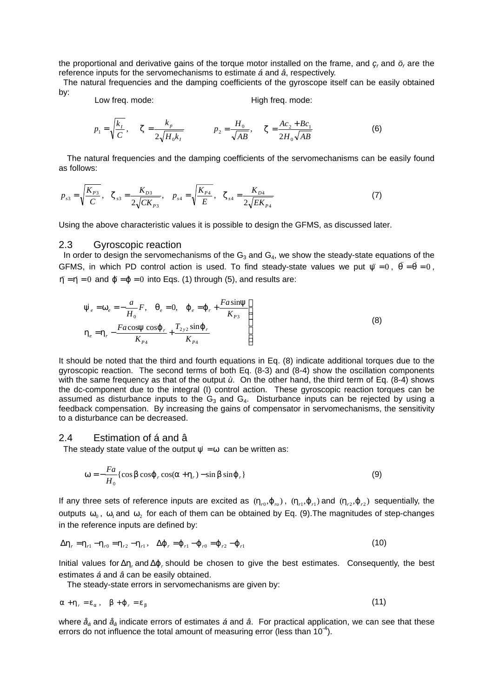the proportional and derivative gains of the torque motor installed on the frame, and  $\varsigma_r$  and  $\ddot{o}_r$  are the reference inputs for the servomechanisms to estimate *á* and *â*, respectively.

 The natural frequencies and the damping coefficients of the gyroscope itself can be easily obtained by:

Low freq. mode: High freq. mode:

$$
p_1 = \sqrt{\frac{k_I}{C}}, \quad \mathbf{z} = \frac{k_p}{2\sqrt{H_0 k_I}} \qquad p_2 = \frac{H_0}{\sqrt{AB}}, \quad \mathbf{z} = \frac{Ac_2 + Bc_1}{2H_0\sqrt{AB}} \tag{6}
$$

The natural frequencies and the damping coefficients of the servomechanisms can be easily found as follows:

$$
p_{s3} = \sqrt{\frac{K_{p3}}{C}}, \quad \mathbf{z}_{s3} = \frac{K_{D3}}{2\sqrt{CK_{p3}}}, \quad p_{s4} = \sqrt{\frac{K_{p4}}{E}}, \quad \mathbf{z}_{s4} = \frac{K_{D4}}{2\sqrt{EK_{p4}}}
$$
(7)

Using the above characteristic values it is possible to design the GFMS, as discussed later.

#### 2.3 Gyroscopic reaction

In order to design the servomechanisms of the  $G_3$  and  $G_4$ , we show the steady-state equations of the GFMS, in which PD control action is used. To find steady-state values we put  $\ddot{y} = 0$ ,  $\ddot{q} = \dot{q} = 0$ ,  $h = h = 0$  and  $f = f = 0$  into Eqs. (1) through (5), and results are:

$$
\dot{y}_e = w_e = -\frac{a}{H_0} F, \quad q_e = 0, \quad \dot{J}_e = \dot{J}_r + \frac{F a \sin y}{K_{p_3}} \\
h_e = h_r - \frac{F a \cos y \cos j}{K_{p_4}} + \frac{T_{2y2} \sin j}{K_{p_4}} \tag{8}
$$

It should be noted that the third and fourth equations in Eq. (8) indicate additional torques due to the gyroscopic reaction. The second terms of both Eq. (8-3) and (8-4) show the oscillation components with the same frequency as that of the output *ù*. On the other hand, the third term of Eq. (8-4) shows the dc-component due to the integral (I) control action. These gyroscopic reaction torques can be assumed as disturbance inputs to the  $G_3$  and  $G_4$ . Disturbance inputs can be rejected by using a feedback compensation. By increasing the gains of compensator in servomechanisms, the sensitivity to a disturbance can be decreased.

#### 2.4 Estimation of á and â

The steady state value of the output  $\dot{y} = w$  can be written as:

$$
\mathbf{w} = -\frac{Fa}{H_0} \{ \cos \mathbf{b} \cos \mathbf{j} \, , \cos(\mathbf{a} + \mathbf{h}_r) - \sin \mathbf{b} \sin \mathbf{j} \, , \} \tag{9}
$$

If any three sets of reference inputs are excited as  $(h_{r0}j_{r0})$ ,  $(h_{r1}j_{r1})$  and  $(h_{r2}j_{r2})$  sequentially, the outputs  $w_0$ ,  $w_1$  and  $w_2$  for each of them can be obtained by Eq. (9).The magnitudes of step-changes in the reference inputs are defined by:

$$
\Delta \mathbf{h}_r = \mathbf{h}_{r1} - \mathbf{h}_{r0} = \mathbf{h}_{r2} - \mathbf{h}_{r1}, \quad \Delta \mathbf{j}_r = \mathbf{j}_{r1} - \mathbf{j}_{r0} = \mathbf{j}_{r2} - \mathbf{j}_{r1}
$$
(10)

Initial values for Δ*h<sup>r</sup>* and Δ*j<sup>r</sup>* should be chosen to give the best estimates. Consequently, the best estimates *á* and *â* can be easily obtained.

The steady-state errors in servomechanisms are given by:

$$
a + h_r = e_a, \quad b + j_r = e_b \tag{11}
$$

where *åá* and *åâ* indicate errors of estimates *á* and *â*. For practical application, we can see that these errors do not influence the total amount of measuring error (less than  $10^{-4}$ ).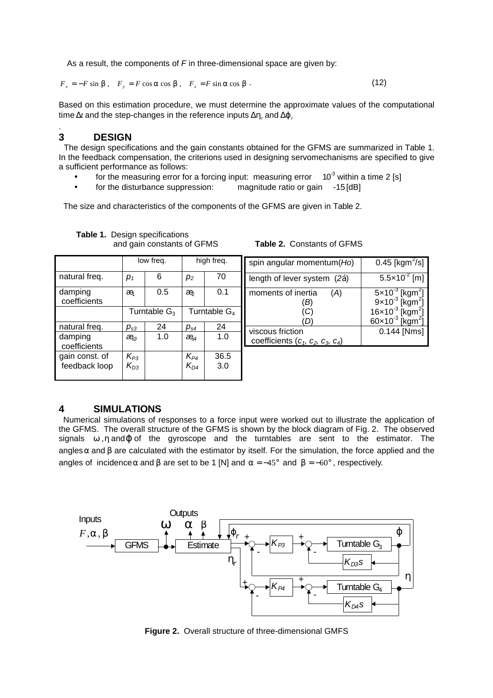As a result, the components of *F* in three-dimensional space are given by:

 $F_x = -F \sin b$ ,  $F_y = F \cos a \cos b$ ,  $F_z = F \sin a \cos b$ . (12)

Based on this estimation procedure, we must determine the approximate values of the computational time  $\Delta t$  and the step-changes in the reference inputs  $\Delta \mathbf{h}$  and  $\Delta \mathbf{j}$ .

## **3 DESIGN**

.

 The design specifications and the gain constants obtained for the GFMS are summarized in Table 1. In the feedback compensation, the criterions used in designing servomechanisms are specified to give a sufficient performance as follows:

- for the measuring error for a forcing input: measuring error  $10^{-3}$  within a time 2 [s]
- for the disturbance suppression: magnitude ratio or gain -15 [dB]

The size and characteristics of the components of the GFMS are given in Table 2.

|                                 | low freq.               |     | high freq.               |             | spin angula                 |
|---------------------------------|-------------------------|-----|--------------------------|-------------|-----------------------------|
| natural freq.                   | $p_1$                   | 6   | p <sub>2</sub>           | 70          | length of le                |
| damping<br>coefficients         | æ                       | 0.5 | æ                        | 0.1         | moments o                   |
|                                 | Turntable $G_3$         |     | Turntable G <sub>4</sub> |             |                             |
| natural freq.                   | $p_{s3}$                | 24  | $p_{s4}$                 | 24          | viscous fric<br>coefficient |
| damping<br>coefficients         | æ                       | 1.0 | $\partial \mathbb{B}_4$  | 1.0         |                             |
| gain const. of<br>feedback loop | $\frac{K_{P3}}{K_{D3}}$ |     | $\frac{K_{P4}}{K_{D4}}$  | 36.5<br>3.0 |                             |

# **Table 1.** Design specifications

and gain constants of GFMS **Table 2.** Constants of GFMS

| spin angular momentum(Ho)                                                         | 0.45 [ $kgm^2/s$ ]                      |  |
|-----------------------------------------------------------------------------------|-----------------------------------------|--|
| length of lever system (2á)                                                       | 5.5×10 <sup>-2</sup> [m]                |  |
| moments of inertia<br>A.                                                          | $5 \times 10^{-3}$ [kgm <sup>2</sup> ]  |  |
|                                                                                   | $9 \times 10^{-3}$ [kgm <sup>2</sup> ]  |  |
|                                                                                   | $16 \times 10^{-3}$ [kgm <sup>2</sup> ] |  |
|                                                                                   | $60\times10^{-3}$ [kgm <sup>2</sup>     |  |
| viscous friction                                                                  | 0.144 [Nms]                             |  |
| coefficients (c <sub>1</sub> , c <sub>2</sub> , c <sub>3</sub> , c <sub>4</sub> ) |                                         |  |

## **4 SIMULATIONS**

 Numerical simulations of responses to a force input were worked out to illustrate the application of the GFMS. The overall structure of the GFMS is shown by the block diagram of Fig. 2. The observed signals *w* ,*h* and*j* of the gyroscope and the turntables are sent to the estimator. The angles*a* and *b* are calculated with the estimator by itself. For the simulation, the force applied and the angles of incidence *a* and *b* are set to be 1 [N] and  $a = -45^\circ$  and  $b = -60^\circ$ , respectively.



**Figure 2.** Overall structure of three-dimensional GMFS